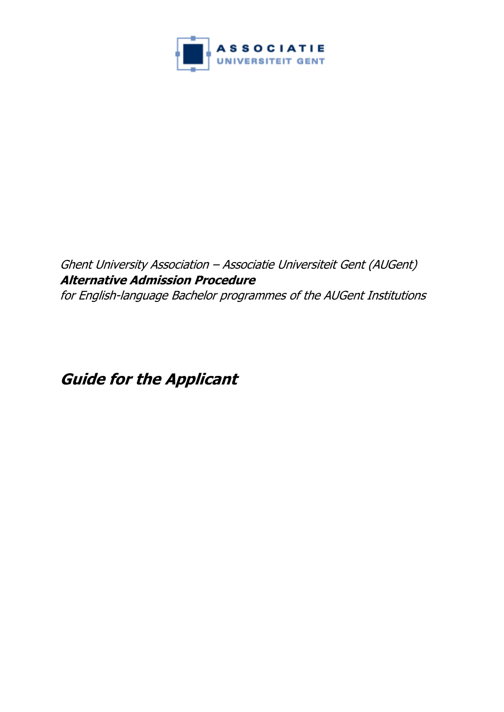

# Ghent University Association – Associatie Universiteit Gent (AUGent) **Alternative Admission Procedure**  for English-language Bachelor programmes of the AUGent Institutions

<span id="page-0-0"></span>**Guide for the Applicant**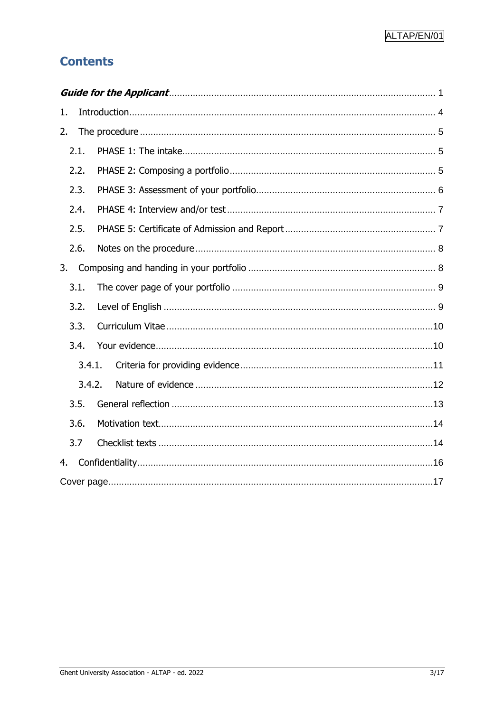# **Contents**

| 1.     |  |
|--------|--|
| 2.     |  |
| 2.1.   |  |
| 2.2.   |  |
| 2.3.   |  |
| 2.4.   |  |
| 2.5.   |  |
| 2.6.   |  |
| 3.     |  |
| 3.1.   |  |
| 3.2.   |  |
| 3.3.   |  |
| 3.4.   |  |
| 3.4.1. |  |
| 3.4.2. |  |
| 3.5.   |  |
| 3.6.   |  |
| 3.7    |  |
| 4.     |  |
|        |  |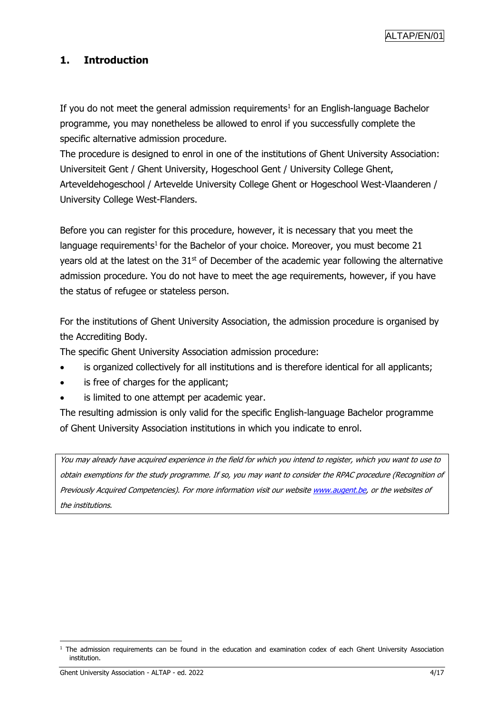### <span id="page-3-0"></span>**1. Introduction**

If you do not meet the general admission requirements<sup>1</sup> for an English-language Bachelor programme, you may nonetheless be allowed to enrol if you successfully complete the specific alternative admission procedure.

The procedure is designed to enrol in one of the institutions of Ghent University Association: Universiteit Gent / Ghent University, Hogeschool Gent / University College Ghent, Arteveldehogeschool / Artevelde University College Ghent or Hogeschool West-Vlaanderen / University College West-Flanders.

Before you can register for this procedure, however, it is necessary that you meet the language requirements<sup>1</sup> for the Bachelor of your choice. Moreover, you must become 21 years old at the latest on the  $31<sup>st</sup>$  of December of the academic year following the alternative admission procedure. You do not have to meet the age requirements, however, if you have the status of refugee or stateless person.

For the institutions of Ghent University Association, the admission procedure is organised by the Accrediting Body.

The specific Ghent University Association admission procedure:

- is organized collectively for all institutions and is therefore identical for all applicants;
- is free of charges for the applicant;
- is limited to one attempt per academic year.

The resulting admission is only valid for the specific English-language Bachelor programme of Ghent University Association institutions in which you indicate to enrol.

You may already have acquired experience in the field for which you intend to register, which you want to use to obtain exemptions for the study programme. If so, you may want to consider the RPAC procedure (Recognition of Previously Acquired Competencies). For more information visit our website [www.augent.](http://www.augent.be/)be, or the websites of the institutions.

<sup>&</sup>lt;sup>1</sup> The admission requirements can be found in the education and examination codex of each Ghent University Association institution.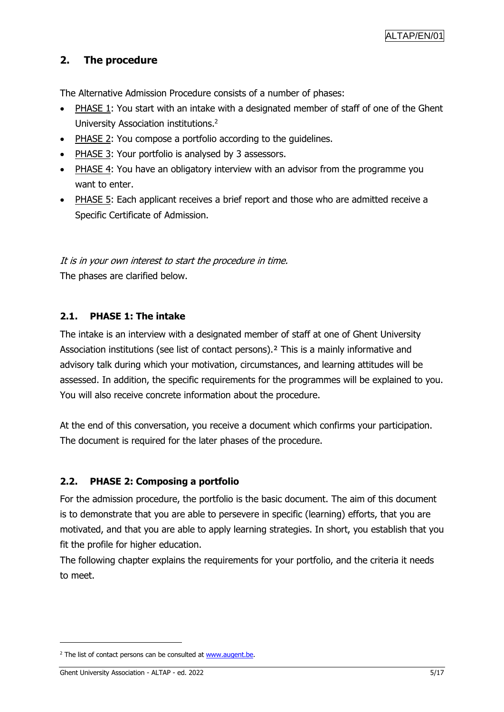### <span id="page-4-0"></span>**2. The procedure**

The Alternative Admission Procedure consists of a number of phases:

- PHASE 1: You start with an intake with a designated member of staff of one of the Ghent University Association institutions. 2
- PHASE 2: You compose a portfolio according to the guidelines.
- PHASE 3: Your portfolio is analysed by 3 assessors.
- PHASE 4: You have an obligatory interview with an advisor from the programme you want to enter.
- PHASE 5: Each applicant receives a brief report and those who are admitted receive a Specific Certificate of Admission.

It is in your own interest to start the procedure in time. The phases are clarified below.

### <span id="page-4-1"></span>**2.1. PHASE 1: The intake**

The intake is an interview with a designated member of staff at one of Ghent University Association institutions (see list of contact persons).² This is a mainly informative and advisory talk during which your motivation, circumstances, and learning attitudes will be assessed. In addition, the specific requirements for the programmes will be explained to you. You will also receive concrete information about the procedure.

At the end of this conversation, you receive a document which confirms your participation. The document is required for the later phases of the procedure.

### <span id="page-4-2"></span>**2.2. PHASE 2: Composing a portfolio**

For the admission procedure, the portfolio is the basic document. The aim of this document is to demonstrate that you are able to persevere in specific (learning) efforts, that you are motivated, and that you are able to apply learning strategies. In short, you establish that you fit the profile for higher education.

The following chapter explains the requirements for your portfolio, and the criteria it needs to meet.

 $2$  The list of contact persons can be consulted a[t www.augent.be.](http://www.augent.be/)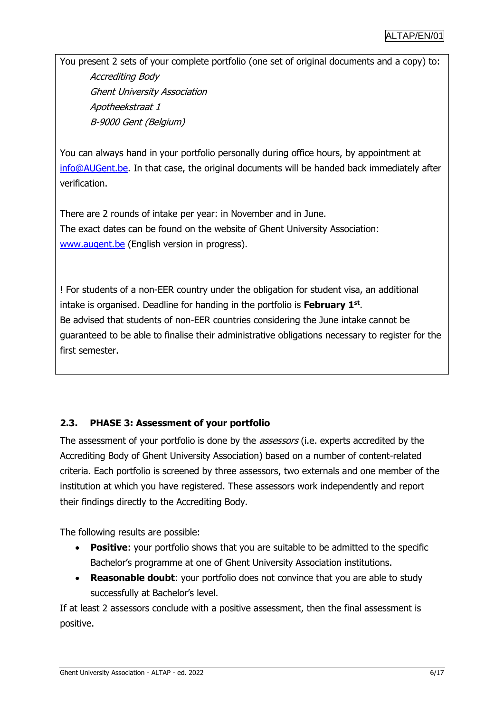You present 2 sets of your complete portfolio (one set of original documents and a copy) to: Accrediting Body Ghent University Association Apotheekstraat 1 B-9000 Gent (Belgium)

You can always hand in your portfolio personally during office hours, by appointment at [info@AUGent.be.](mailto:info@AUGent.be) In that case, the original documents will be handed back immediately after verification.

There are 2 rounds of intake per year: in November and in June. The exact dates can be found on the website of Ghent University Association: [www.augent.be](http://www.augent.be/) (English version in progress).

! For students of a non-EER country under the obligation for student visa, an additional intake is organised. Deadline for handing in the portfolio is **February 1st** . Be advised that students of non-EER countries considering the June intake cannot be guaranteed to be able to finalise their administrative obligations necessary to register for the first semester.

### <span id="page-5-0"></span>**2.3. PHASE 3: Assessment of your portfolio**

The assessment of your portfolio is done by the *assessors* (i.e. experts accredited by the Accrediting Body of Ghent University Association) based on a number of content-related criteria. Each portfolio is screened by three assessors, two externals and one member of the institution at which you have registered. These assessors work independently and report their findings directly to the Accrediting Body.

The following results are possible:

- **Positive**: your portfolio shows that you are suitable to be admitted to the specific Bachelor's programme at one of Ghent University Association institutions.
- **Reasonable doubt**: your portfolio does not convince that you are able to study successfully at Bachelor's level.

If at least 2 assessors conclude with a positive assessment, then the final assessment is positive.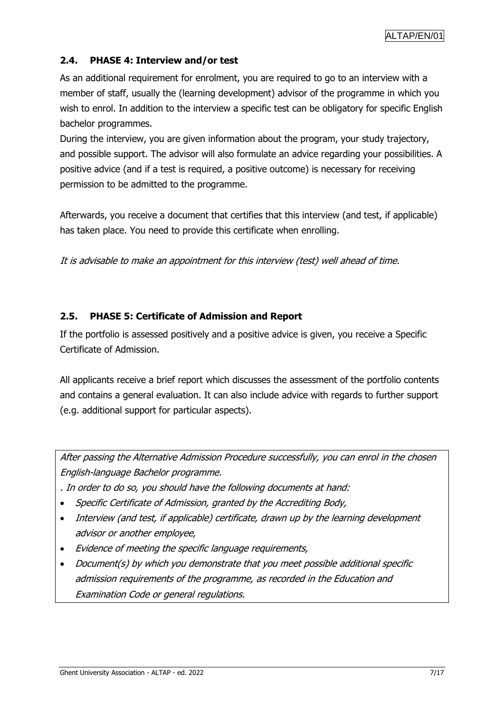### <span id="page-6-0"></span>**2.4. PHASE 4: Interview and/or test**

As an additional requirement for enrolment, you are required to go to an interview with a member of staff, usually the (learning development) advisor of the programme in which you wish to enrol. In addition to the interview a specific test can be obligatory for specific English bachelor programmes.

During the interview, you are given information about the program, your study trajectory, and possible support. The advisor will also formulate an advice regarding your possibilities. A positive advice (and if a test is required, a positive outcome) is necessary for receiving permission to be admitted to the programme.

Afterwards, you receive a document that certifies that this interview (and test, if applicable) has taken place. You need to provide this certificate when enrolling.

It is advisable to make an appointment for this interview (test) well ahead of time.

### <span id="page-6-1"></span>**2.5. PHASE 5: Certificate of Admission and Report**

If the portfolio is assessed positively and a positive advice is given, you receive a Specific Certificate of Admission.

All applicants receive a brief report which discusses the assessment of the portfolio contents and contains a general evaluation. It can also include advice with regards to further support (e.g. additional support for particular aspects).

After passing the Alternative Admission Procedure successfully, you can enrol in the chosen English-language Bachelor programme.

. In order to do so, you should have the following documents at hand:

- Specific Certificate of Admission, granted by the Accrediting Body,
- Interview (and test, if applicable) certificate, drawn up by the learning development advisor or another employee,
- Evidence of meeting the specific language requirements,
- Document(s) by which you demonstrate that you meet possible additional specific admission requirements of the programme, as recorded in the Education and Examination Code or general regulations.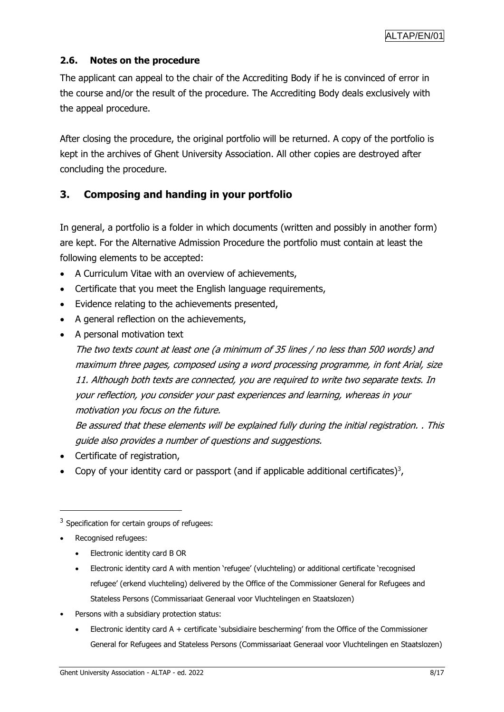### <span id="page-7-0"></span>**2.6. Notes on the procedure**

The applicant can appeal to the chair of the Accrediting Body if he is convinced of error in the course and/or the result of the procedure. The Accrediting Body deals exclusively with the appeal procedure.

After closing the procedure, the original portfolio will be returned. A copy of the portfolio is kept in the archives of Ghent University Association. All other copies are destroyed after concluding the procedure.

### <span id="page-7-1"></span>**3. Composing and handing in your portfolio**

In general, a portfolio is a folder in which documents (written and possibly in another form) are kept. For the Alternative Admission Procedure the portfolio must contain at least the following elements to be accepted:

- A Curriculum Vitae with an overview of achievements,
- Certificate that you meet the English language requirements,
- Evidence relating to the achievements presented,
- A general reflection on the achievements,
- A personal motivation text

The two texts count at least one (a minimum of 35 lines / no less than 500 words) and maximum three pages, composed using a word processing programme, in font Arial, size 11. Although both texts are connected, you are required to write two separate texts. In your reflection, you consider your past experiences and learning, whereas in your motivation you focus on the future.

Be assured that these elements will be explained fully during the initial registration. . This guide also provides a number of questions and suggestions.

- Certificate of registration,
- Copy of your identity card or passport (and if applicable additional certificates)<sup>3</sup>,

 $\overline{a}$ 

- Electronic identity card B OR
- Electronic identity card A with mention 'refugee' (vluchteling) or additional certificate 'recognised refugee' (erkend vluchteling) delivered by the Office of the Commissioner General for Refugees and Stateless Persons (Commissariaat Generaal voor Vluchtelingen en Staatslozen)
- Persons with a subsidiary protection status:
	- Electronic identity card A + certificate 'subsidiaire bescherming' from the Office of the Commissioner General for Refugees and Stateless Persons (Commissariaat Generaal voor Vluchtelingen en Staatslozen)

 $3$  Specification for certain groups of refugees:

<sup>•</sup> Recognised refugees: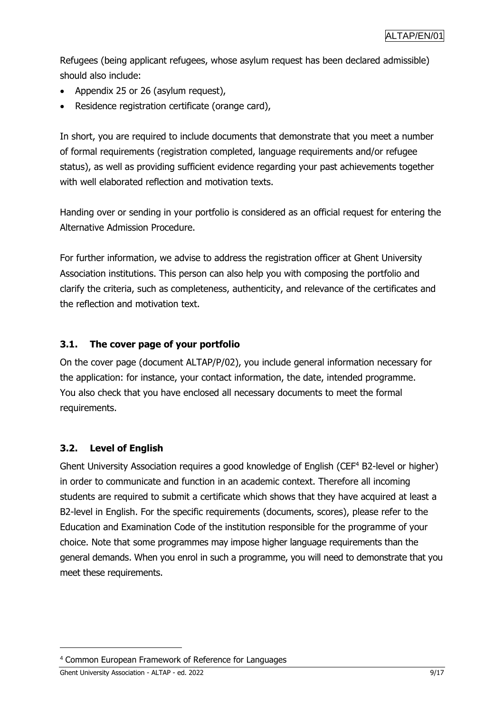Refugees (being applicant refugees, whose asylum request has been declared admissible) should also include:

- Appendix 25 or 26 (asylum request),
- Residence registration certificate (orange card),

In short, you are required to include documents that demonstrate that you meet a number of formal requirements (registration completed, language requirements and/or refugee status), as well as providing sufficient evidence regarding your past achievements together with well elaborated reflection and motivation texts.

Handing over or sending in your portfolio is considered as an official request for entering the Alternative Admission Procedure.

For further information, we advise to address the registration officer at Ghent University Association institutions. This person can also help you with composing the portfolio and clarify the criteria, such as completeness, authenticity, and relevance of the certificates and the reflection and motivation text.

### <span id="page-8-0"></span>**3.1. The cover page of your portfolio**

On the cover page (document ALTAP/P/02), you include general information necessary for the application: for instance, your contact information, the date, intended programme. You also check that you have enclosed all necessary documents to meet the formal requirements.

### <span id="page-8-1"></span>**3.2. Level of English**

Ghent University Association requires a good knowledge of English (CEF<sup>4</sup> B2-level or higher) in order to communicate and function in an academic context. Therefore all incoming students are required to submit a certificate which shows that they have acquired at least a B2-level in English. For the specific requirements (documents, scores), please refer to the Education and Examination Code of the institution responsible for the programme of your choice. Note that some programmes may impose higher language requirements than the general demands. When you enrol in such a programme, you will need to demonstrate that you meet these requirements.

Ghent University Association - ALTAP - ed. 2022 9/17

<sup>4</sup> Common European Framework of Reference for Languages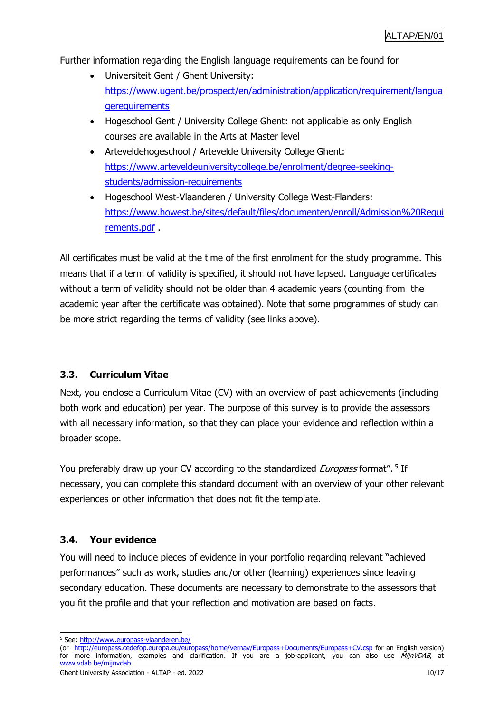Further information regarding the English language requirements can be found for

- Universiteit Gent / Ghent University: [https://www.ugent.be/prospect/en/administration/application/requirement/langua](https://www.ugent.be/prospect/en/administration/application/requirement/languagerequirements) [gerequirements](https://www.ugent.be/prospect/en/administration/application/requirement/languagerequirements)
- Hogeschool Gent / University College Ghent: not applicable as only English courses are available in the Arts at Master level
- Arteveldehogeschool / Artevelde University College Ghent: [https://www.arteveldeuniversitycollege.be/enrolment/degree-seeking](https://www.arteveldeuniversitycollege.be/enrolment/degree-seeking-students/admission-requirements)[students/admission-requirements](https://www.arteveldeuniversitycollege.be/enrolment/degree-seeking-students/admission-requirements)
- Hogeschool West-Vlaanderen / University College West-Flanders: [https://www.howest.be/sites/default/files/documenten/enroll/Admission%20Requi](https://www.howest.be/sites/default/files/documenten/enroll/Admission%20Requirements.pdf) [rements.pdf](https://www.howest.be/sites/default/files/documenten/enroll/Admission%20Requirements.pdf) .

All certificates must be valid at the time of the first enrolment for the study programme. This means that if a term of validity is specified, it should not have lapsed. Language certificates without a term of validity should not be older than 4 academic years (counting from the academic year after the certificate was obtained). Note that some programmes of study can be more strict regarding the terms of validity (see links above).

### <span id="page-9-0"></span>**3.3. Curriculum Vitae**

Next, you enclose a Curriculum Vitae (CV) with an overview of past achievements (including both work and education) per year. The purpose of this survey is to provide the assessors with all necessary information, so that they can place your evidence and reflection within a broader scope.

You preferably draw up your CV according to the standardized *Europass* format". <sup>5</sup> If necessary, you can complete this standard document with an overview of your other relevant experiences or other information that does not fit the template.

### <span id="page-9-1"></span>**3.4. Your evidence**

You will need to include pieces of evidence in your portfolio regarding relevant "achieved performances" such as work, studies and/or other (learning) experiences since leaving secondary education. These documents are necessary to demonstrate to the assessors that you fit the profile and that your reflection and motivation are based on facts.

 <sup>5</sup> See:<http://www.europass-vlaanderen.be/>

<sup>(</sup>or <http://europass.cedefop.europa.eu/europass/home/vernav/Europass+Documents/Europass+CV.csp> for an English version) for more information, examples and clarification. If you are a job-applicant, you can also use MijnVDAB, at .be/miinvdal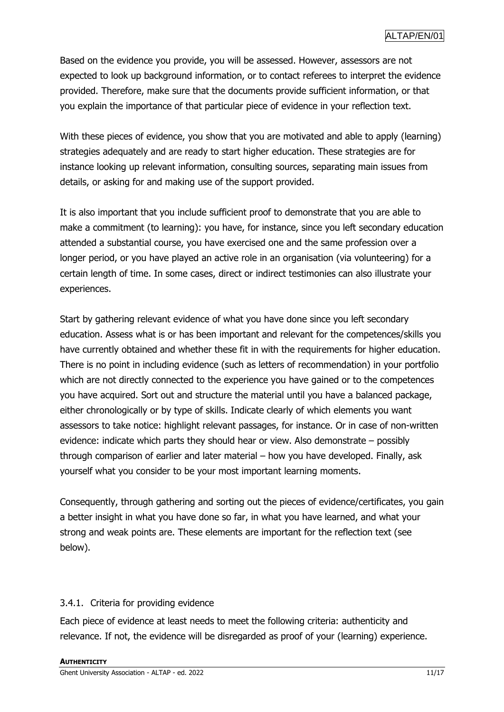Based on the evidence you provide, you will be assessed. However, assessors are not expected to look up background information, or to contact referees to interpret the evidence provided. Therefore, make sure that the documents provide sufficient information, or that you explain the importance of that particular piece of evidence in your reflection text.

With these pieces of evidence, you show that you are motivated and able to apply (learning) strategies adequately and are ready to start higher education. These strategies are for instance looking up relevant information, consulting sources, separating main issues from details, or asking for and making use of the support provided.

It is also important that you include sufficient proof to demonstrate that you are able to make a commitment (to learning): you have, for instance, since you left secondary education attended a substantial course, you have exercised one and the same profession over a longer period, or you have played an active role in an organisation (via volunteering) for a certain length of time. In some cases, direct or indirect testimonies can also illustrate your experiences.

Start by gathering relevant evidence of what you have done since you left secondary education. Assess what is or has been important and relevant for the competences/skills you have currently obtained and whether these fit in with the requirements for higher education. There is no point in including evidence (such as letters of recommendation) in your portfolio which are not directly connected to the experience you have gained or to the competences you have acquired. Sort out and structure the material until you have a balanced package, either chronologically or by type of skills. Indicate clearly of which elements you want assessors to take notice: highlight relevant passages, for instance. Or in case of non-written evidence: indicate which parts they should hear or view. Also demonstrate – possibly through comparison of earlier and later material – how you have developed. Finally, ask yourself what you consider to be your most important learning moments.

Consequently, through gathering and sorting out the pieces of evidence/certificates, you gain a better insight in what you have done so far, in what you have learned, and what your strong and weak points are. These elements are important for the reflection text (see below).

### <span id="page-10-0"></span>3.4.1. Criteria for providing evidence

Each piece of evidence at least needs to meet the following criteria: authenticity and relevance. If not, the evidence will be disregarded as proof of your (learning) experience.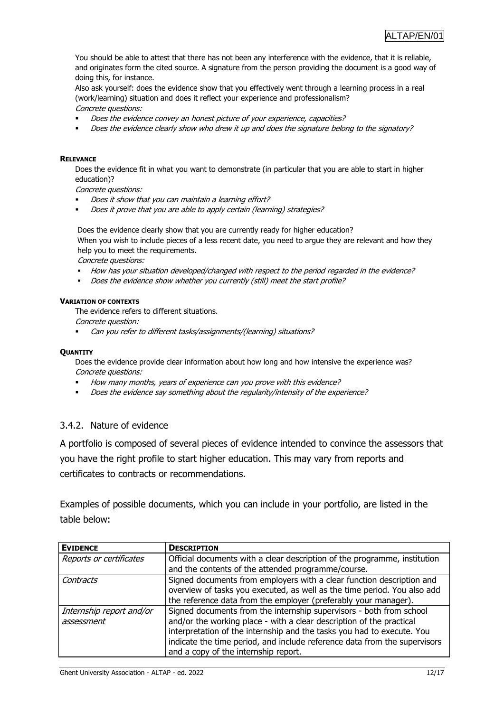You should be able to attest that there has not been any interference with the evidence, that it is reliable, and originates form the cited source. A signature from the person providing the document is a good way of doing this, for instance.

Also ask yourself: does the evidence show that you effectively went through a learning process in a real (work/learning) situation and does it reflect your experience and professionalism? Concrete questions:

- Does the evidence convey an honest picture of your experience, capacities?
- Does the evidence clearly show who drew it up and does the signature belong to the signatory?

#### **RELEVANCE**

Does the evidence fit in what you want to demonstrate (in particular that you are able to start in higher education)?

Concrete questions:

- Does it show that you can maintain a learning effort?
- **Does it prove that you are able to apply certain (learning) strategies?**

Does the evidence clearly show that you are currently ready for higher education? When you wish to include pieces of a less recent date, you need to argue they are relevant and how they help you to meet the requirements.

Concrete questions:

- How has your situation developed/changed with respect to the period regarded in the evidence?
- Does the evidence show whether you currently (still) meet the start profile?

#### **VARIATION OF CONTEXTS**

The evidence refers to different situations.

Concrete question:

Can you refer to different tasks/assignments/(learning) situations?

#### **QUANTITY**

Does the evidence provide clear information about how long and how intensive the experience was? Concrete questions:

- How many months, years of experience can you prove with this evidence?
- Does the evidence say something about the regularity/intensity of the experience?

#### <span id="page-11-0"></span>3.4.2. Nature of evidence

A portfolio is composed of several pieces of evidence intended to convince the assessors that you have the right profile to start higher education. This may vary from reports and certificates to contracts or recommendations.

Examples of possible documents, which you can include in your portfolio, are listed in the table below:

| <b>EVIDENCE</b>          | <b>DESCRIPTION</b>                                                        |
|--------------------------|---------------------------------------------------------------------------|
| Reports or certificates  | Official documents with a clear description of the programme, institution |
|                          | and the contents of the attended programme/course.                        |
| Contracts                | Signed documents from employers with a clear function description and     |
|                          | overview of tasks you executed, as well as the time period. You also add  |
|                          | the reference data from the employer (preferably your manager).           |
| Internship report and/or | Signed documents from the internship supervisors - both from school       |
| assessment               | and/or the working place - with a clear description of the practical      |
|                          | interpretation of the internship and the tasks you had to execute. You    |
|                          | indicate the time period, and include reference data from the supervisors |
|                          | and a copy of the internship report.                                      |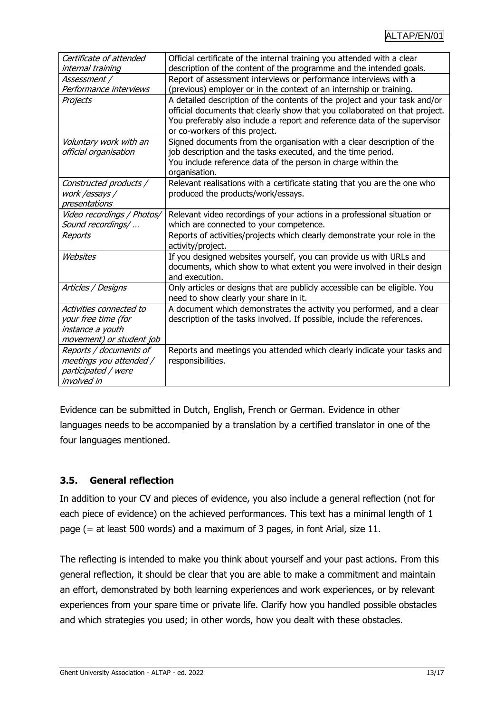| Certificate of attended    | Official certificate of the internal training you attended with a clear     |
|----------------------------|-----------------------------------------------------------------------------|
| internal training          | description of the content of the programme and the intended goals.         |
| Assessment /               | Report of assessment interviews or performance interviews with a            |
| Performance interviews     | (previous) employer or in the context of an internship or training.         |
| Projects                   | A detailed description of the contents of the project and your task and/or  |
|                            | official documents that clearly show that you collaborated on that project. |
|                            | You preferably also include a report and reference data of the supervisor   |
|                            | or co-workers of this project.                                              |
| Voluntary work with an     | Signed documents from the organisation with a clear description of the      |
| official organisation      | job description and the tasks executed, and the time period.                |
|                            | You include reference data of the person in charge within the               |
|                            | organisation.                                                               |
| Constructed products /     | Relevant realisations with a certificate stating that you are the one who   |
| work /essays /             | produced the products/work/essays.                                          |
| presentations              |                                                                             |
| Video recordings / Photos/ | Relevant video recordings of your actions in a professional situation or    |
| Sound recordings/          | which are connected to your competence.                                     |
| Reports                    | Reports of activities/projects which clearly demonstrate your role in the   |
|                            | activity/project.                                                           |
| Websites                   | If you designed websites yourself, you can provide us with URLs and         |
|                            | documents, which show to what extent you were involved in their design      |
|                            | and execution.                                                              |
| Articles / Designs         | Only articles or designs that are publicly accessible can be eligible. You  |
|                            | need to show clearly your share in it.                                      |
| Activities connected to    | A document which demonstrates the activity you performed, and a clear       |
| your free time (for        | description of the tasks involved. If possible, include the references.     |
| instance a youth           |                                                                             |
| movement) or student job   |                                                                             |
| Reports / documents of     | Reports and meetings you attended which clearly indicate your tasks and     |
| meetings you attended /    | responsibilities.                                                           |
| participated / were        |                                                                             |
| involved in                |                                                                             |

Evidence can be submitted in Dutch, English, French or German. Evidence in other languages needs to be accompanied by a translation by a certified translator in one of the four languages mentioned.

### <span id="page-12-0"></span>**3.5. General reflection**

In addition to your CV and pieces of evidence, you also include a general reflection (not for each piece of evidence) on the achieved performances. This text has a minimal length of 1 page (= at least 500 words) and a maximum of 3 pages, in font Arial, size 11.

The reflecting is intended to make you think about yourself and your past actions. From this general reflection, it should be clear that you are able to make a commitment and maintain an effort, demonstrated by both learning experiences and work experiences, or by relevant experiences from your spare time or private life. Clarify how you handled possible obstacles and which strategies you used; in other words, how you dealt with these obstacles.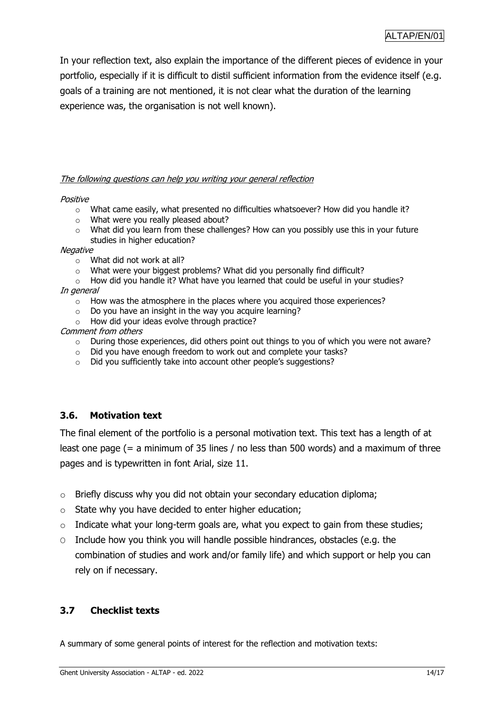In your reflection text, also explain the importance of the different pieces of evidence in your portfolio, especially if it is difficult to distil sufficient information from the evidence itself (e.g. goals of a training are not mentioned, it is not clear what the duration of the learning experience was, the organisation is not well known).

#### The following questions can help you writing your general reflection

#### Positive

- $\circ$  What came easily, what presented no difficulties whatsoever? How did you handle it?
- o What were you really pleased about?
- $\circ$  What did you learn from these challenges? How can you possibly use this in your future studies in higher education?

#### **Negative**

- o What did not work at all?
- o What were your biggest problems? What did you personally find difficult?
- $\circ$  How did you handle it? What have you learned that could be useful in your studies?

#### In general

- o How was the atmosphere in the places where you acquired those experiences?
- $\circ$  Do you have an insight in the way you acquire learning?
- o How did your ideas evolve through practice?

#### Comment from others

- $\circ$  During those experiences, did others point out things to you of which you were not aware?
- o Did you have enough freedom to work out and complete your tasks?
- o Did you sufficiently take into account other people's suggestions?

### <span id="page-13-0"></span>**3.6. Motivation text**

The final element of the portfolio is a personal motivation text. This text has a length of at least one page (= a minimum of 35 lines / no less than 500 words) and a maximum of three pages and is typewritten in font Arial, size 11.

- o Briefly discuss why you did not obtain your secondary education diploma;
- $\circ$  State why you have decided to enter higher education;
- $\circ$  Indicate what your long-term goals are, what you expect to gain from these studies;
- O Include how you think you will handle possible hindrances, obstacles (e.g. the combination of studies and work and/or family life) and which support or help you can rely on if necessary.

### <span id="page-13-1"></span>**3.7 Checklist texts**

A summary of some general points of interest for the reflection and motivation texts: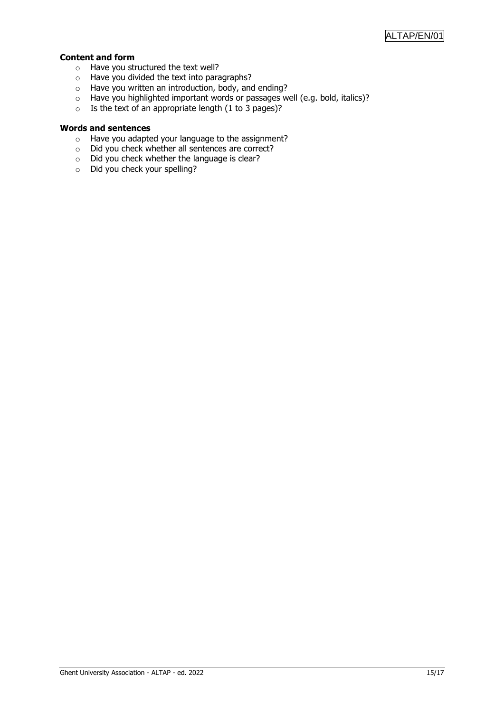#### **Content and form**

- o Have you structured the text well?
- o Have you divided the text into paragraphs?
- $\circ$  Have you written an introduction, body, and ending?
- o Have you highlighted important words or passages well (e.g. bold, italics)?
- $\circ$  Is the text of an appropriate length (1 to 3 pages)?

#### **Words and sentences**

- o Have you adapted your language to the assignment?
- o Did you check whether all sentences are correct?
- $\circ$  Did you check whether the language is clear?
- o Did you check your spelling?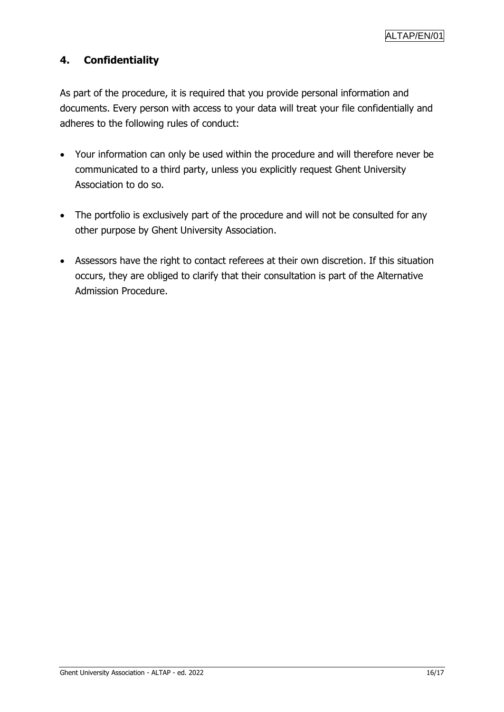### <span id="page-15-0"></span>**4. Confidentiality**

As part of the procedure, it is required that you provide personal information and documents. Every person with access to your data will treat your file confidentially and adheres to the following rules of conduct:

- Your information can only be used within the procedure and will therefore never be communicated to a third party, unless you explicitly request Ghent University Association to do so.
- The portfolio is exclusively part of the procedure and will not be consulted for any other purpose by Ghent University Association.
- Assessors have the right to contact referees at their own discretion. If this situation occurs, they are obliged to clarify that their consultation is part of the Alternative Admission Procedure.